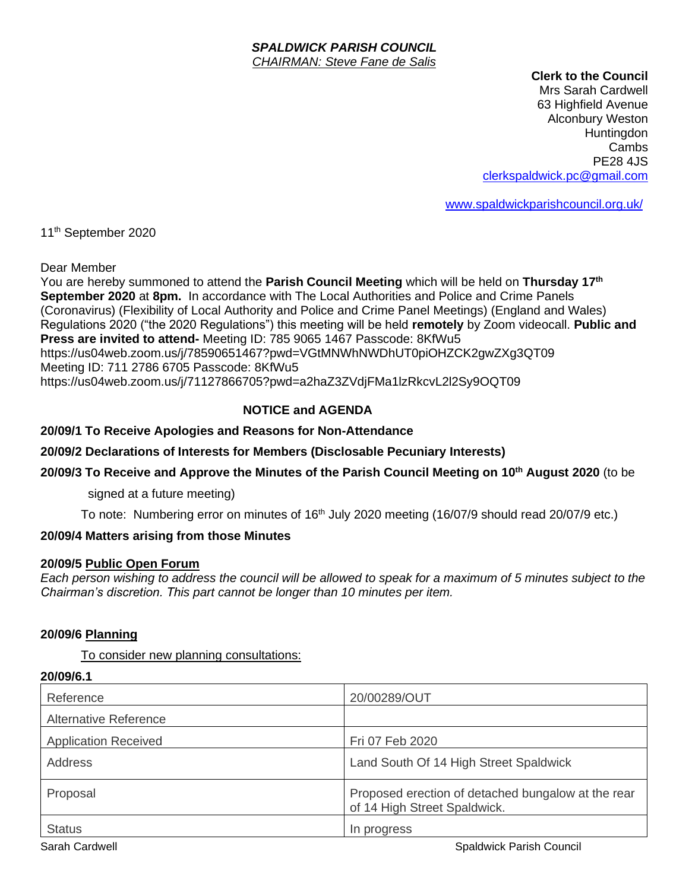#### *SPALDWICK PARISH COUNCIL CHAIRMAN: Steve Fane de Salis*

#### **Clerk to the Council**

Mrs Sarah Cardwell 63 Highfield Avenue Alconbury Weston **Huntingdon** Cambs PE28 4JS [clerkspaldwick.pc@gmail.com](mailto:clerkspaldwick.pc@gmail.com)

[www.spaldwickparishcouncil.org.uk/](http://www.spaldwickparishcouncil.org.uk/)

11<sup>th</sup> September 2020

Dear Member

You are hereby summoned to attend the Parish Council Meeting which will be held on Thursday 17<sup>th</sup> **September 2020** at **8pm.** In accordance with The Local Authorities and Police and Crime Panels (Coronavirus) (Flexibility of Local Authority and Police and Crime Panel Meetings) (England and Wales) Regulations 2020 ("the 2020 Regulations") this meeting will be held **remotely** by Zoom videocall. **Public and Press are invited to attend-** Meeting ID: 785 9065 1467 Passcode: 8KfWu5 https://us04web.zoom.us/j/78590651467?pwd=VGtMNWhNWDhUT0piOHZCK2gwZXg3QT09 Meeting ID: 711 2786 6705 Passcode: 8KfWu5 https://us04web.zoom.us/j/71127866705?pwd=a2haZ3ZVdjFMa1lzRkcvL2l2Sy9OQT09

# **NOTICE and AGENDA**

### **20/09/1 To Receive Apologies and Reasons for Non-Attendance**

**20/09/2 Declarations of Interests for Members (Disclosable Pecuniary Interests)**

### **20/09/3 To Receive and Approve the Minutes of the Parish Council Meeting on 10th August 2020** (to be

signed at a future meeting)

To note: Numbering error on minutes of 16<sup>th</sup> July 2020 meeting (16/07/9 should read 20/07/9 etc.)

### **20/09/4 Matters arising from those Minutes**

#### **20/09/5 Public Open Forum**

*Each person wishing to address the council will be allowed to speak for a maximum of 5 minutes subject to the Chairman's discretion. This part cannot be longer than 10 minutes per item.* 

#### **20/09/6 Planning**

**20/09/6.1**

#### To consider new planning consultations:

| <i>ZUI</i> UYJO. I           |                                                                                    |
|------------------------------|------------------------------------------------------------------------------------|
| Reference                    | 20/00289/OUT                                                                       |
| <b>Alternative Reference</b> |                                                                                    |
| <b>Application Received</b>  | Fri 07 Feb 2020                                                                    |
| Address                      | Land South Of 14 High Street Spaldwick                                             |
| Proposal                     | Proposed erection of detached bungalow at the rear<br>of 14 High Street Spaldwick. |
| <b>Status</b>                | In progress                                                                        |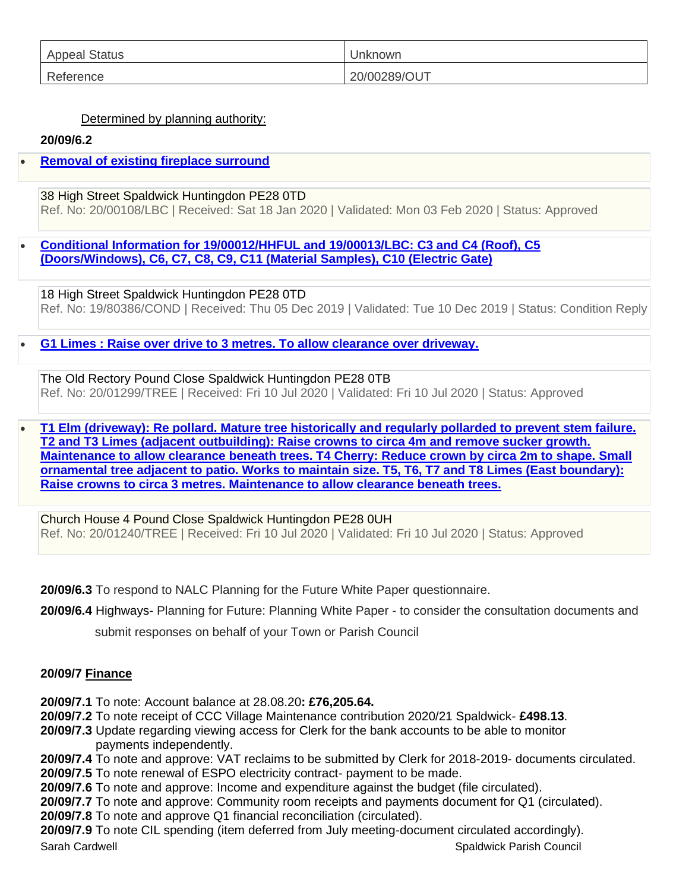| <b>Appeal Status</b> | Unknown      |
|----------------------|--------------|
| Reference            | 20/00289/OUT |

## Determined by planning authority:

## **20/09/6.2**

# • **[Removal of existing fireplace surround](https://publicaccess.huntingdonshire.gov.uk/online-applications/applicationDetails.do?keyVal=Q4AMMSIKIQ000&activeTab=summary)**

38 High Street Spaldwick Huntingdon PE28 0TD Ref. No: 20/00108/LBC | Received: Sat 18 Jan 2020 | Validated: Mon 03 Feb 2020 | Status: Approved

• **[Conditional Information for 19/00012/HHFUL and 19/00013/LBC: C3 and C4 \(Roof\), C5](https://publicaccess.huntingdonshire.gov.uk/online-applications/applicationDetails.do?keyVal=Q21LRTIKHXK00&activeTab=summary)  [\(Doors/Windows\), C6, C7, C8, C9, C11 \(Material Samples\), C10 \(Electric Gate\)](https://publicaccess.huntingdonshire.gov.uk/online-applications/applicationDetails.do?keyVal=Q21LRTIKHXK00&activeTab=summary)**

18 High Street Spaldwick Huntingdon PE28 0TD Ref. No: 19/80386/COND | Received: Thu 05 Dec 2019 | Validated: Tue 10 Dec 2019 | Status: Condition Reply

• **[G1 Limes : Raise over drive to 3 metres. To allow clearance over driveway.](https://publicaccess.huntingdonshire.gov.uk/online-applications/applicationDetails.do?keyVal=QDIIMNIK0DP00&activeTab=summary)**

The Old Rectory Pound Close Spaldwick Huntingdon PE28 0TB Ref. No: 20/01299/TREE | Received: Fri 10 Jul 2020 | Validated: Fri 10 Jul 2020 | Status: Approved

• **[T1 Elm \(driveway\): Re pollard. Mature tree historically and regularly pollarded to prevent stem failure.](https://publicaccess.huntingdonshire.gov.uk/online-applications/applicationDetails.do?keyVal=QD95IYIKM0R00&activeTab=summary)  [T2 and T3 Limes \(adjacent outbuilding\): Raise crowns to circa 4m and remove sucker growth.](https://publicaccess.huntingdonshire.gov.uk/online-applications/applicationDetails.do?keyVal=QD95IYIKM0R00&activeTab=summary)  [Maintenance to allow clearance beneath trees. T4 Cherry: Reduce crown by circa 2m to shape. Small](https://publicaccess.huntingdonshire.gov.uk/online-applications/applicationDetails.do?keyVal=QD95IYIKM0R00&activeTab=summary)  [ornamental tree adjacent to patio. Works to maintain size. T5, T6, T7 and T8 Limes \(East boundary\):](https://publicaccess.huntingdonshire.gov.uk/online-applications/applicationDetails.do?keyVal=QD95IYIKM0R00&activeTab=summary)  [Raise crowns to circa 3 metres. Maintenance to allow clearance beneath trees.](https://publicaccess.huntingdonshire.gov.uk/online-applications/applicationDetails.do?keyVal=QD95IYIKM0R00&activeTab=summary)**

Church House 4 Pound Close Spaldwick Huntingdon PE28 0UH Ref. No: 20/01240/TREE | Received: Fri 10 Jul 2020 | Validated: Fri 10 Jul 2020 | Status: Approved

**20/09/6.3** To respond to NALC [Planning for the Future White Paper](https://capalc.us17.list-manage.com/track/click?u=082bf53548f28012f3de2de2a&id=d8017e6a79&e=6cebd3dce0) questionnaire.

**20/09/6.4** Highways- Planning for Future: Planning White Paper - to consider the consultation documents and

submit responses on behalf of your Town or Parish Council

### **20/09/7 Finance**

**20/09/7.1** To note: Account balance at 28.08.20**: £76,205.64.**

**20/09/7.2** To note receipt of CCC Village Maintenance contribution 2020/21 Spaldwick- **£498.13**.

**20/09/7.3** Update regarding viewing access for Clerk for the bank accounts to be able to monitor payments independently.

**20/09/7.4** To note and approve: VAT reclaims to be submitted by Clerk for 2018-2019- documents circulated.

**20/09/7.5** To note renewal of ESPO electricity contract- payment to be made.

**20/09/7.6** To note and approve: Income and expenditure against the budget (file circulated).

**20/09/7.7** To note and approve: Community room receipts and payments document for Q1 (circulated).

**20/09/7.8** To note and approve Q1 financial reconciliation (circulated).

Sarah Cardwell Sarah Cardwell Spaldwick Parish Council Spaldwick Parish Council **20/09/7.9** To note CIL spending (item deferred from July meeting-document circulated accordingly).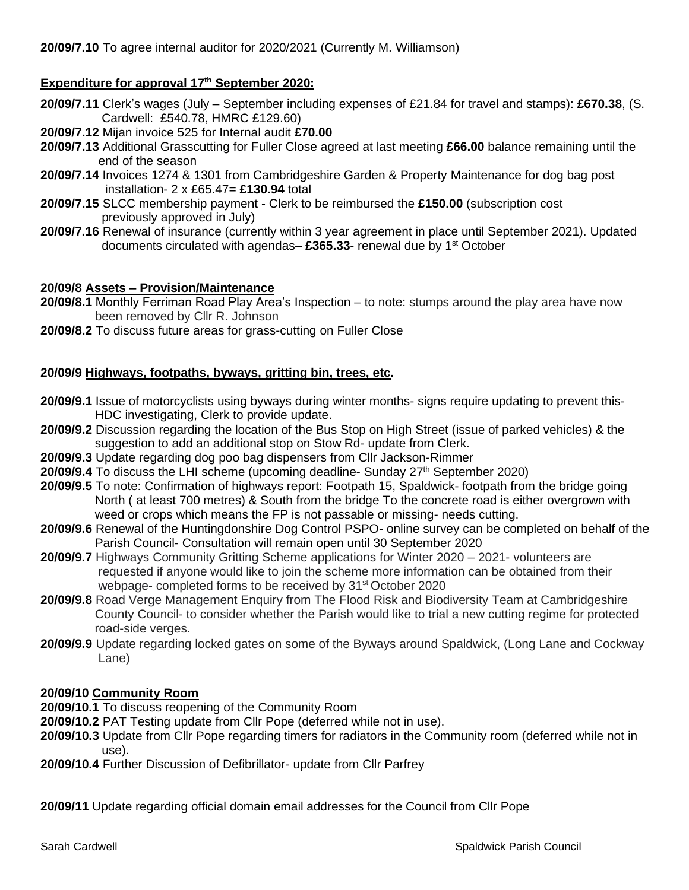# **Expenditure for approval 17 th September 2020:**

- **20/09/7.11** Clerk's wages (July September including expenses of £21.84 for travel and stamps): **£670.38**, (S. Cardwell: £540.78, HMRC £129.60)
- **20/09/7.12** Mijan invoice 525 for Internal audit **£70.00**
- **20/09/7.13** Additional Grasscutting for Fuller Close agreed at last meeting **£66.00** balance remaining until the end of the season
- **20/09/7.14** Invoices 1274 & 1301 from Cambridgeshire Garden & Property Maintenance for dog bag post installation- 2 x £65.47= **£130.94** total
- **20/09/7.15** SLCC membership payment Clerk to be reimbursed the **£150.00** (subscription cost previously approved in July)
- **20/09/7.16** Renewal of insurance (currently within 3 year agreement in place until September 2021). Updated documents circulated with agendas**– £365.33**- renewal due by 1st October

### **20/09/8 Assets – Provision/Maintenance**

- **20/09/8.1** Monthly Ferriman Road Play Area's Inspection to note: stumps around the play area have now been removed by Cllr R. Johnson
- **20/09/8.2** To discuss future areas for grass-cutting on Fuller Close

### **20/09/9 Highways, footpaths, byways, gritting bin, trees, etc.**

- **20/09/9.1** Issue of motorcyclists using byways during winter months- signs require updating to prevent this- HDC investigating, Clerk to provide update.
- **20/09/9.2** Discussion regarding the location of the Bus Stop on High Street (issue of parked vehicles) & the suggestion to add an additional stop on Stow Rd- update from Clerk.
- **20/09/9.3** Update regarding dog poo bag dispensers from Cllr Jackson-Rimmer
- **20/09/9.4** To discuss the LHI scheme (upcoming deadline- Sunday 27<sup>th</sup> September 2020)
- **20/09/9.5** To note: Confirmation of highways report: Footpath 15, Spaldwick- footpath from the bridge going North ( at least 700 metres) & South from the bridge To the concrete road is either overgrown with weed or crops which means the FP is not passable or missing- needs cutting.
- **20/09/9.6** Renewal of the Huntingdonshire Dog Control PSPO- online survey can be completed on behalf of the Parish Council- Consultation will remain open until 30 September 2020
- **20/09/9.7** Highways Community Gritting Scheme applications for Winter 2020 2021- volunteers are requested if anyone would like to join the scheme more information can be obtained from their webpage- completed forms to be received by 31<sup>st</sup> October 2020
- **20/09/9.8** Road Verge Management Enquiry from The Flood Risk and Biodiversity Team at Cambridgeshire County Council- to consider whether the Parish would like to trial a new cutting regime for protected road-side verges.
- **20/09/9.9** Update regarding locked gates on some of the Byways around Spaldwick, (Long Lane and Cockway Lane)

#### **20/09/10 Community Room**

- **20/09/10.1** To discuss reopening of the Community Room
- **20/09/10.2** PAT Testing update from Cllr Pope (deferred while not in use).
- **20/09/10.3** Update from Cllr Pope regarding timers for radiators in the Community room (deferred while not in use).
- **20/09/10.4** Further Discussion of Defibrillator- update from Cllr Parfrey

**20/09/11** Update regarding official domain email addresses for the Council from Cllr Pope